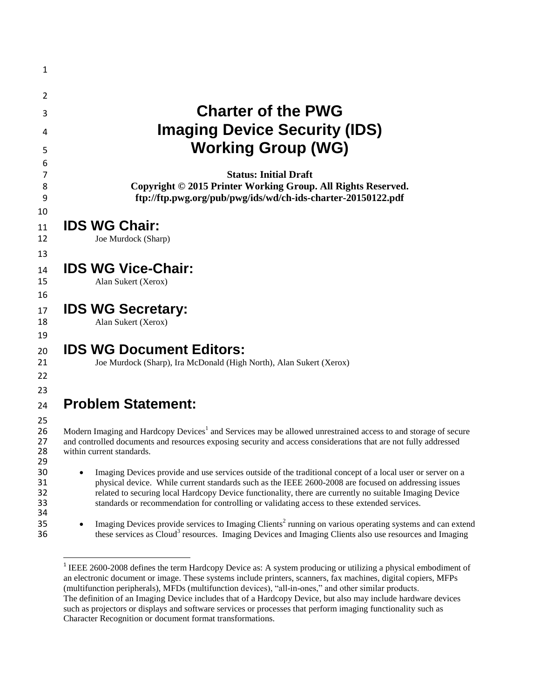| <b>Charter of the PWG</b><br><b>Imaging Device Security (IDS)</b><br><b>Working Group (WG)</b>                                                                                                                                                                                                                                                                                                                                |
|-------------------------------------------------------------------------------------------------------------------------------------------------------------------------------------------------------------------------------------------------------------------------------------------------------------------------------------------------------------------------------------------------------------------------------|
| <b>Status: Initial Draft</b><br>Copyright © 2015 Printer Working Group. All Rights Reserved.<br>ftp://ftp.pwg.org/pub/pwg/ids/wd/ch-ids-charter-20150122.pdf                                                                                                                                                                                                                                                                  |
| <b>IDS WG Chair:</b><br>Joe Murdock (Sharp)                                                                                                                                                                                                                                                                                                                                                                                   |
| <b>IDS WG Vice-Chair:</b><br>Alan Sukert (Xerox)                                                                                                                                                                                                                                                                                                                                                                              |
| <b>IDS WG Secretary:</b><br>Alan Sukert (Xerox)                                                                                                                                                                                                                                                                                                                                                                               |
| <b>IDS WG Document Editors:</b><br>Joe Murdock (Sharp), Ira McDonald (High North), Alan Sukert (Xerox)                                                                                                                                                                                                                                                                                                                        |
| <b>Problem Statement:</b>                                                                                                                                                                                                                                                                                                                                                                                                     |
| Modern Imaging and Hardcopy Devices <sup>1</sup> and Services may be allowed unrestrained access to and storage of secure<br>and controlled documents and resources exposing security and access considerations that are not fully addressed<br>within current standards.                                                                                                                                                     |
| Imaging Devices provide and use services outside of the traditional concept of a local user or server on a<br>physical device. While current standards such as the IEEE 2600-2008 are focused on addressing issues<br>related to securing local Hardcopy Device functionality, there are currently no suitable Imaging Device<br>standards or recommendation for controlling or validating access to these extended services. |
| Imaging Devices provide services to Imaging Clients <sup>2</sup> running on various operating systems and can extend<br>these services as Cloud <sup>3</sup> resources. Imaging Devices and Imaging Clients also use resources and Imaging                                                                                                                                                                                    |

<sup>1</sup> IEEE 2600-2008 defines the term Hardcopy Device as: A system producing or utilizing a physical embodiment of an electronic document or image. These systems include printers, scanners, fax machines, digital copiers, MFPs (multifunction peripherals), MFDs (multifunction devices), "all-in-ones," and other similar products. The definition of an Imaging Device includes that of a Hardcopy Device, but also may include hardware devices such as projectors or displays and software services or processes that perform imaging functionality such as Character Recognition or document format transformations.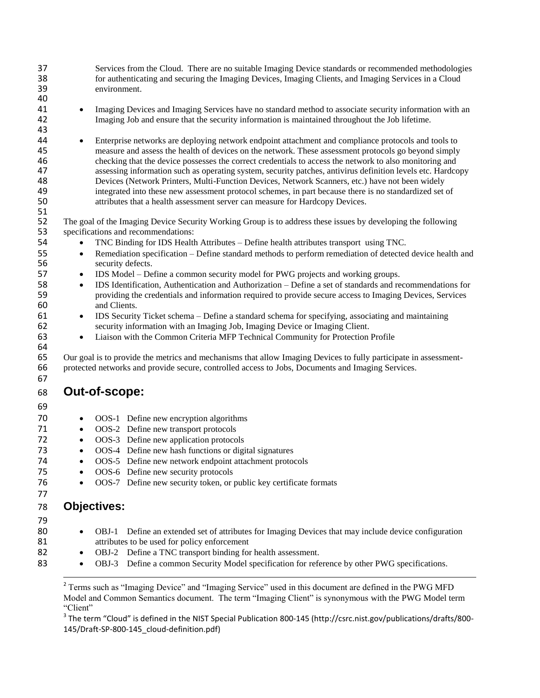37 Services from the Cloud. There are no suitable Imaging Device standards or recommended methodologies<br>38 for authenticating and securing the Imaging Devices. Imaging Clients, and Imaging Services in a Cloud 38 for authenticating and securing the Imaging Devices, Imaging Clients, and Imaging Services in a Cloud environment.

- <sup>41</sup> Imaging Devices and Imaging Services have no standard method to associate security information with an 42 Imaging Job and ensure that the security information is maintained throughout the Job lifetime.
- 44 Enterprise networks are deploying network endpoint attachment and compliance protocols and tools to 45 measure and assess the health of devices on the network. These assessment protocols go beyond simply 46 checking that the device possesses the correct credentials to access the network to also monitoring and<br>47 ssessing information such as operating system, security patches, antivirus definition levels etc. Hardco assessing information such as operating system, security patches, antivirus definition levels etc. Hardcopy 48 Devices (Network Printers, Multi-Function Devices, Network Scanners, etc.) have not been widely<br>49 integrated into these new assessment protocol schemes, in part because there is no standardized set 49 integrated into these new assessment protocol schemes, in part because there is no standardized set of<br>50 intributes that a health assessment server can measure for Hardcony Devices attributes that a health assessment server can measure for Hardcopy Devices.
- 52 The goal of the Imaging Device Security Working Group is to address these issues by developing the following<br>53 specifications and recommendations: specifications and recommendations:
- 54 TNC Binding for IDS Health Attributes Define health attributes transport using TNC.
- **55** Remediation specification Define standard methods to perform remediation of detected device health and 56 security defects.
- 57 IDS Model Define a common security model for PWG projects and working groups.
- 58 **IDS** Identification, Authentication and Authorization Define a set of standards and recommendations for providing the credentials and information required to provide secure access to Imaging Devices. Services 59 providing the credentials and information required to provide secure access to Imaging Devices, Services and Clients. and Clients.
- 61 IDS Security Ticket schema Define a standard schema for specifying, associating and maintaining 62 security information with an Imaging Job, Imaging Device or Imaging Client.
- 63 Liaison with the Common Criteria MFP Technical Community for Protection Profile

64<br>65 65 Our goal is to provide the metrics and mechanisms that allow Imaging Devices to fully participate in assessment-<br>66 protected networks and provide secure, controlled access to Jobs, Documents and Imaging Services. 66 protected networks and provide secure, controlled access to Jobs, Documents and Imaging Services.

## 68 **Out-of-scope:**

69

67

40

43

51

- 70 OOS-1 Define new encryption algorithms
- 71 OOS-2 Define new transport protocols
- 72 OOS-3 Define new application protocols<br>73 OOS-4 Define new hash functions or digi
	- OOS-4 Define new hash functions or digital signatures
- 74 OOS-5 Define new network endpoint attachment protocols
- 75 OOS-6 Define new security protocols
- 76 OOS-7 Define new security token, or public key certificate formats

## 78 **Objectives:**

79

l

77

- 80 OBJ-1 Define an extended set of attributes for Imaging Devices that may include device configuration 81 attributes to be used for policy enforcement
- 82 OBJ-2 Define a TNC transport binding for health assessment.
- 83 **OBJ-3** Define a common Security Model specification for reference by other PWG specifications.

<sup>&</sup>lt;sup>2</sup> Terms such as "Imaging Device" and "Imaging Service" used in this document are defined in the PWG MFD Model and Common Semantics document. The term "Imaging Client" is synonymous with the PWG Model term "Client"

 $^3$  The term "Cloud" is defined in the NIST Special Publication 800-145 (http://csrc.nist.gov/publications/drafts/800-145/Draft-SP-800-145\_cloud-definition.pdf)